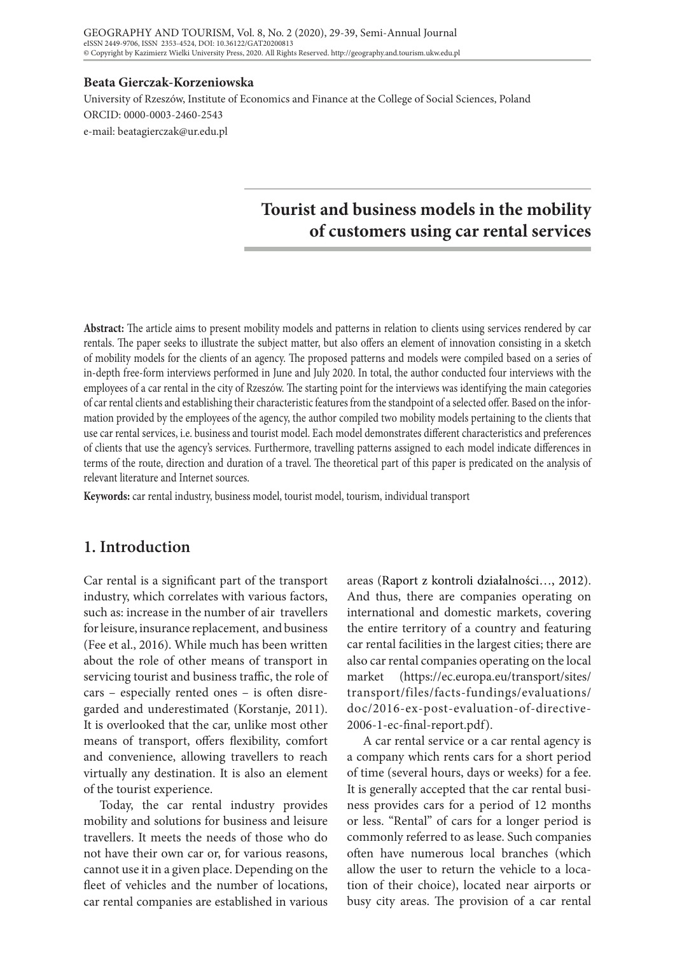#### **Beata Gierczak-Korzeniowska**

University of Rzeszów, Institute of Economics and Finance at the College of Social Sciences, Poland ORCID: 0000-0003-2460-2543 e-mail: beatagierczak@ur.edu.pl

# **Tourist and business models in the mobility of customers using car rental services**

**Abstract:** The article aims to present mobility models and patterns in relation to clients using services rendered by car rentals. The paper seeks to illustrate the subject matter, but also offers an element of innovation consisting in a sketch of mobility models for the clients of an agency. The proposed patterns and models were compiled based on a series of in-depth free-form interviews performed in June and July 2020. In total, the author conducted four interviews with the employees of a car rental in the city of Rzeszów. The starting point for the interviews was identifying the main categories of car rental clients and establishing their characteristic features from the standpoint of a selected offer. Based on the information provided by the employees of the agency, the author compiled two mobility models pertaining to the clients that use car rental services, i.e. business and tourist model. Each model demonstrates different characteristics and preferences of clients that use the agency's services. Furthermore, travelling patterns assigned to each model indicate differences in terms of the route, direction and duration of a travel. The theoretical part of this paper is predicated on the analysis of relevant literature and Internet sources.

**Keywords:** car rental industry, business model, tourist model, tourism, individual transport

# **1. Introduction**

Car rental is a significant part of the transport industry, which correlates with various factors, such as: increase in the number of air travellers for leisure, insurance replacement, and business (Fee et al., 2016). While much has been written about the role of other means of transport in servicing tourist and business traffic, the role of cars – especially rented ones – is often disregarded and underestimated (Korstanje, 2011). It is overlooked that the car, unlike most other means of transport, offers flexibility, comfort and convenience, allowing travellers to reach virtually any destination. It is also an element of the tourist experience.

Today, the car rental industry provides mobility and solutions for business and leisure travellers. It meets the needs of those who do not have their own car or, for various reasons, cannot use it in a given place. Depending on the fleet of vehicles and the number of locations, car rental companies are established in various

areas (Raport z kontroli działalności…, 2012). And thus, there are companies operating on international and domestic markets, covering the entire territory of a country and featuring car rental facilities in the largest cities; there are also car rental companies operating on the local market (https://ec.europa.eu/transport/sites/ transport/files/facts-fundings/evaluations/ doc/2016-ex-post-evaluation-of-directive-2006-1-ec-final-report.pdf).

A car rental service or a car rental agency is a company which rents cars for a short period of time (several hours, days or weeks) for a fee. It is generally accepted that the car rental business provides cars for a period of 12 months or less. "Rental" of cars for a longer period is commonly referred to as lease. Such companies often have numerous local branches (which allow the user to return the vehicle to a location of their choice), located near airports or busy city areas. The provision of a car rental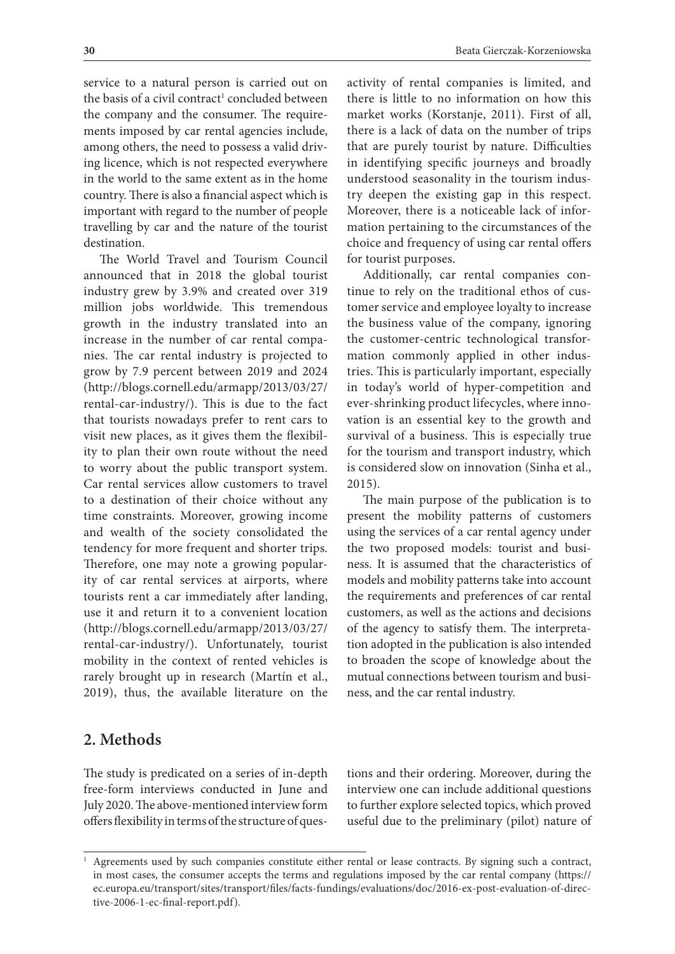service to a natural person is carried out on the basis of a civil contract<sup>1</sup> concluded between the company and the consumer. The requirements imposed by car rental agencies include, among others, the need to possess a valid driving licence, which is not respected everywhere in the world to the same extent as in the home country. There is also a financial aspect which is important with regard to the number of people travelling by car and the nature of the tourist destination.

The World Travel and Tourism Council announced that in 2018 the global tourist industry grew by 3.9% and created over 319 million jobs worldwide. This tremendous growth in the industry translated into an increase in the number of car rental companies. The car rental industry is projected to grow by 7.9 percent between 2019 and 2024 (http://blogs.cornell.edu/armapp/2013/03/27/ rental-car-industry/). This is due to the fact that tourists nowadays prefer to rent cars to visit new places, as it gives them the flexibility to plan their own route without the need to worry about the public transport system. Car rental services allow customers to travel to a destination of their choice without any time constraints. Moreover, growing income and wealth of the society consolidated the tendency for more frequent and shorter trips. Therefore, one may note a growing popularity of car rental services at airports, where tourists rent a car immediately after landing, use it and return it to a convenient location (http://blogs.cornell.edu/armapp/2013/03/27/ rental-car-industry/). Unfortunately, tourist mobility in the context of rented vehicles is rarely brought up in research (Martín et al., 2019), thus, the available literature on the

activity of rental companies is limited, and there is little to no information on how this market works (Korstanje, 2011). First of all, there is a lack of data on the number of trips that are purely tourist by nature. Difficulties in identifying specific journeys and broadly understood seasonality in the tourism industry deepen the existing gap in this respect. Moreover, there is a noticeable lack of information pertaining to the circumstances of the choice and frequency of using car rental offers for tourist purposes.

Additionally, car rental companies continue to rely on the traditional ethos of customer service and employee loyalty to increase the business value of the company, ignoring the customer-centric technological transformation commonly applied in other industries. This is particularly important, especially in today's world of hyper-competition and ever-shrinking product lifecycles, where innovation is an essential key to the growth and survival of a business. This is especially true for the tourism and transport industry, which is considered slow on innovation (Sinha et al., 2015).

The main purpose of the publication is to present the mobility patterns of customers using the services of a car rental agency under the two proposed models: tourist and business. It is assumed that the characteristics of models and mobility patterns take into account the requirements and preferences of car rental customers, as well as the actions and decisions of the agency to satisfy them. The interpretation adopted in the publication is also intended to broaden the scope of knowledge about the mutual connections between tourism and business, and the car rental industry.

# **2. Methods**

The study is predicated on a series of in-depth free-form interviews conducted in June and July 2020. The above-mentioned interview form offers flexibility in terms of the structure of ques-

tions and their ordering. Moreover, during the interview one can include additional questions to further explore selected topics, which proved useful due to the preliminary (pilot) nature of

<sup>1</sup> Agreements used by such companies constitute either rental or lease contracts. By signing such a contract, in most cases, the consumer accepts the terms and regulations imposed by the car rental company (https:// ec.europa.eu/transport/sites/transport/files/facts-fundings/evaluations/doc/2016-ex-post-evaluation-of-directive-2006-1-ec-final-report.pdf).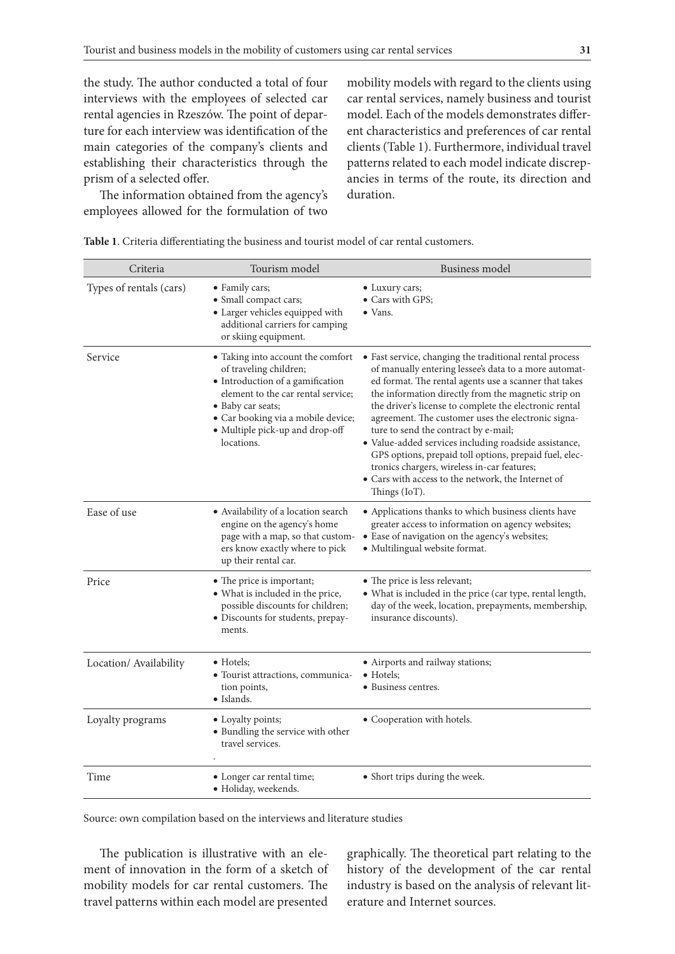the study. The author conducted a total of four interviews with the employees of selected car rental agencies in Rzeszów. The point of departure for each interview was identification of the main categories of the company's clients and establishing their characteristics through the prism of a selected offer.

The information obtained from the agency's employees allowed for the formulation of two mobility models with regard to the clients using car rental services, namely business and tourist model. Each of the models demonstrates different characteristics and preferences of car rental clients (Table 1). Furthermore, individual travel patterns related to each model indicate discrepancies in terms of the route, its direction and duration.

| Criteria                | Tourism model                                                                                                                                                                                                                                     | Business model                                                                                                                                                                                                                                                                                                                                                                                                                                                                                                                                                                                                                    |
|-------------------------|---------------------------------------------------------------------------------------------------------------------------------------------------------------------------------------------------------------------------------------------------|-----------------------------------------------------------------------------------------------------------------------------------------------------------------------------------------------------------------------------------------------------------------------------------------------------------------------------------------------------------------------------------------------------------------------------------------------------------------------------------------------------------------------------------------------------------------------------------------------------------------------------------|
| Types of rentals (cars) | • Family cars;<br>• Small compact cars;<br>• Larger vehicles equipped with<br>additional carriers for camping<br>or skiing equipment.                                                                                                             | • Luxury cars;<br>• Cars with GPS;<br>$\bullet$ Vans.                                                                                                                                                                                                                                                                                                                                                                                                                                                                                                                                                                             |
| Service                 | • Taking into account the comfort<br>of traveling children;<br>• Introduction of a gamification<br>element to the car rental service;<br>• Baby car seats;<br>• Car booking via a mobile device;<br>• Multiple pick-up and drop-off<br>locations. | · Fast service, changing the traditional rental process<br>of manually entering lessee's data to a more automat-<br>ed format. The rental agents use a scanner that takes<br>the information directly from the magnetic strip on<br>the driver's license to complete the electronic rental<br>agreement. The customer uses the electronic signa-<br>ture to send the contract by e-mail;<br>· Value-added services including roadside assistance,<br>GPS options, prepaid toll options, prepaid fuel, elec-<br>tronics chargers, wireless in-car features;<br>· Cars with access to the network, the Internet of<br>Things (IoT). |
| Ease of use             | • Availability of a location search<br>engine on the agency's home<br>page with a map, so that custom-<br>ers know exactly where to pick<br>up their rental car.                                                                                  | • Applications thanks to which business clients have<br>greater access to information on agency websites;<br>• Ease of navigation on the agency's websites;<br>• Multilingual website format.                                                                                                                                                                                                                                                                                                                                                                                                                                     |
| Price                   | • The price is important;<br>• What is included in the price,<br>possible discounts for children;<br>· Discounts for students, prepay-<br>ments.                                                                                                  | • The price is less relevant;<br>• What is included in the price (car type, rental length,<br>day of the week, location, prepayments, membership,<br>insurance discounts).                                                                                                                                                                                                                                                                                                                                                                                                                                                        |
| Location/ Availability  | $\bullet$ Hotels;<br>• Tourist attractions, communica-<br>tion points,<br>• Islands.                                                                                                                                                              | • Airports and railway stations;<br>$\bullet$ Hotels;<br>• Business centres.                                                                                                                                                                                                                                                                                                                                                                                                                                                                                                                                                      |
| Loyalty programs        | • Loyalty points;<br>· Bundling the service with other<br>travel services.                                                                                                                                                                        | • Cooperation with hotels.                                                                                                                                                                                                                                                                                                                                                                                                                                                                                                                                                                                                        |
| Time                    | • Longer car rental time;<br>· Holiday, weekends.                                                                                                                                                                                                 | • Short trips during the week.                                                                                                                                                                                                                                                                                                                                                                                                                                                                                                                                                                                                    |

**Table 1**. Criteria differentiating the business and tourist model of car rental customers.

Source: own compilation based on the interviews and literature studies

The publication is illustrative with an element of innovation in the form of a sketch of mobility models for car rental customers. The travel patterns within each model are presented

graphically. The theoretical part relating to the history of the development of the car rental industry is based on the analysis of relevant literature and Internet sources.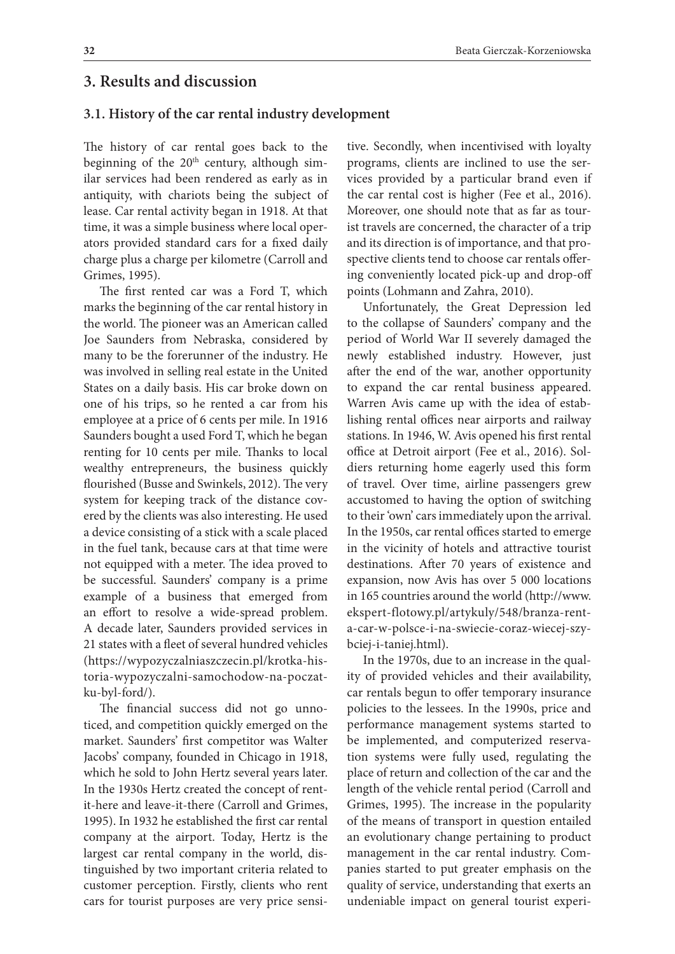## **3. Results and discussion**

#### **3.1. History of the car rental industry development**

The history of car rental goes back to the beginning of the  $20<sup>th</sup>$  century, although similar services had been rendered as early as in antiquity, with chariots being the subject of lease. Car rental activity began in 1918. At that time, it was a simple business where local operators provided standard cars for a fixed daily charge plus a charge per kilometre (Carroll and Grimes, 1995).

The first rented car was a Ford T, which marks the beginning of the car rental history in the world. The pioneer was an American called Joe Saunders from Nebraska, considered by many to be the forerunner of the industry. He was involved in selling real estate in the United States on a daily basis. His car broke down on one of his trips, so he rented a car from his employee at a price of 6 cents per mile. In 1916 Saunders bought a used Ford T, which he began renting for 10 cents per mile. Thanks to local wealthy entrepreneurs, the business quickly flourished (Busse and Swinkels, 2012). The very system for keeping track of the distance covered by the clients was also interesting. He used a device consisting of a stick with a scale placed in the fuel tank, because cars at that time were not equipped with a meter. The idea proved to be successful. Saunders' company is a prime example of a business that emerged from an effort to resolve a wide-spread problem. A decade later, Saunders provided services in 21 states with a fleet of several hundred vehicles (https://wypozyczalniaszczecin.pl/krotka-historia-wypozyczalni-samochodow-na-poczatku-byl-ford/).

The financial success did not go unnoticed, and competition quickly emerged on the market. Saunders' first competitor was Walter Jacobs' company, founded in Chicago in 1918, which he sold to John Hertz several years later. In the 1930s Hertz created the concept of rentit-here and leave-it-there (Carroll and Grimes, 1995). In 1932 he established the first car rental company at the airport. Today, Hertz is the largest car rental company in the world, distinguished by two important criteria related to customer perception. Firstly, clients who rent cars for tourist purposes are very price sensi-

tive. Secondly, when incentivised with loyalty programs, clients are inclined to use the services provided by a particular brand even if the car rental cost is higher (Fee et al., 2016). Moreover, one should note that as far as tourist travels are concerned, the character of a trip and its direction is of importance, and that prospective clients tend to choose car rentals offering conveniently located pick-up and drop-off points (Lohmann and Zahra, 2010).

Unfortunately, the Great Depression led to the collapse of Saunders' company and the period of World War II severely damaged the newly established industry. However, just after the end of the war, another opportunity to expand the car rental business appeared. Warren Avis came up with the idea of establishing rental offices near airports and railway stations. In 1946, W. Avis opened his first rental office at Detroit airport (Fee et al., 2016). Soldiers returning home eagerly used this form of travel. Over time, airline passengers grew accustomed to having the option of switching to their 'own' cars immediately upon the arrival. In the 1950s, car rental offices started to emerge in the vicinity of hotels and attractive tourist destinations. After 70 years of existence and expansion, now Avis has over 5 000 locations in 165 countries around the world (http://www. ekspert-flotowy.pl/artykuly/548/branza-renta-car-w-polsce-i-na-swiecie-coraz-wiecej-szybciej-i-taniej.html).

In the 1970s, due to an increase in the quality of provided vehicles and their availability, car rentals begun to offer temporary insurance policies to the lessees. In the 1990s, price and performance management systems started to be implemented, and computerized reservation systems were fully used, regulating the place of return and collection of the car and the length of the vehicle rental period (Carroll and Grimes, 1995). The increase in the popularity of the means of transport in question entailed an evolutionary change pertaining to product management in the car rental industry. Companies started to put greater emphasis on the quality of service, understanding that exerts an undeniable impact on general tourist experi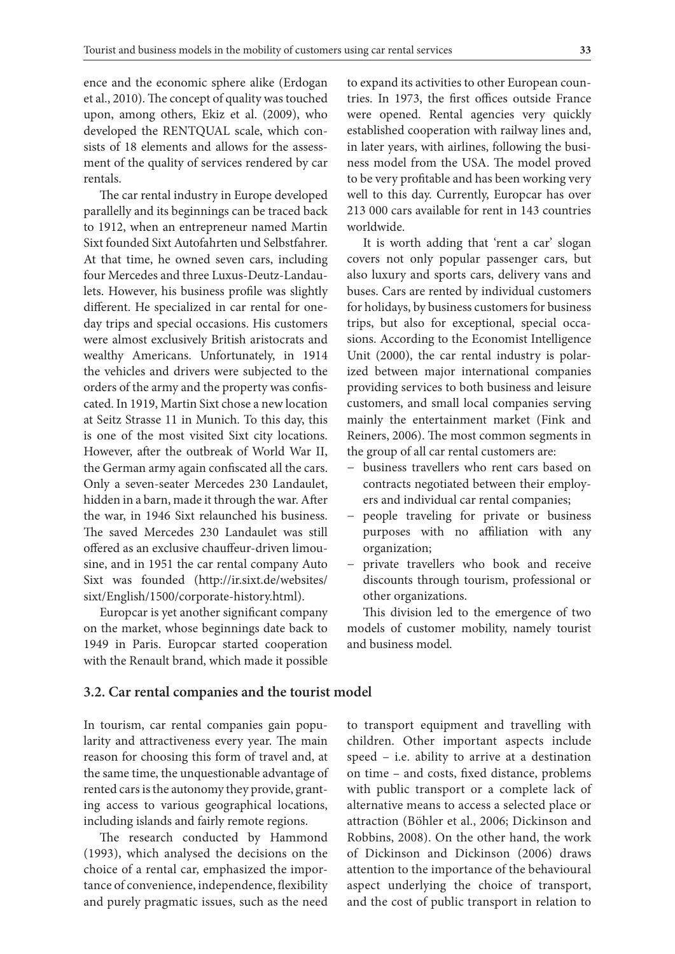ence and the economic sphere alike (Erdogan et al., 2010). The concept of quality was touched upon, among others, Ekiz et al. (2009), who developed the RENTQUAL scale, which consists of 18 elements and allows for the assessment of the quality of services rendered by car rentals.

The car rental industry in Europe developed parallelly and its beginnings can be traced back to 1912, when an entrepreneur named Martin Sixt founded Sixt Autofahrten und Selbstfahrer. At that time, he owned seven cars, including four Mercedes and three Luxus-Deutz-Landaulets. However, his business profile was slightly different. He specialized in car rental for oneday trips and special occasions. His customers were almost exclusively British aristocrats and wealthy Americans. Unfortunately, in 1914 the vehicles and drivers were subjected to the orders of the army and the property was confiscated. In 1919, Martin Sixt chose a new location at Seitz Strasse 11 in Munich. To this day, this is one of the most visited Sixt city locations. However, after the outbreak of World War II, the German army again confiscated all the cars. Only a seven-seater Mercedes 230 Landaulet, hidden in a barn, made it through the war. After the war, in 1946 Sixt relaunched his business. The saved Mercedes 230 Landaulet was still offered as an exclusive chauffeur-driven limousine, and in 1951 the car rental company Auto Sixt was founded (http://ir.sixt.de/websites/ sixt/English/1500/corporate-history.html).

Europcar is yet another significant company on the market, whose beginnings date back to 1949 in Paris. Europcar started cooperation with the Renault brand, which made it possible

to expand its activities to other European countries. In 1973, the first offices outside France were opened. Rental agencies very quickly established cooperation with railway lines and, in later years, with airlines, following the business model from the USA. The model proved to be very profitable and has been working very well to this day. Currently, Europcar has over 213 000 cars available for rent in 143 countries worldwide.

It is worth adding that 'rent a car' slogan covers not only popular passenger cars, but also luxury and sports cars, delivery vans and buses. Cars are rented by individual customers for holidays, by business customers for business trips, but also for exceptional, special occasions. According to the Economist Intelligence Unit (2000), the car rental industry is polarized between major international companies providing services to both business and leisure customers, and small local companies serving mainly the entertainment market (Fink and Reiners, 2006). The most common segments in the group of all car rental customers are:

- − business travellers who rent cars based on contracts negotiated between their employers and individual car rental companies;
- − people traveling for private or business purposes with no affiliation with any organization;
- − private travellers who book and receive discounts through tourism, professional or other organizations.

This division led to the emergence of two models of customer mobility, namely tourist and business model.

#### **3.2. Car rental companies and the tourist model**

In tourism, car rental companies gain popularity and attractiveness every year. The main reason for choosing this form of travel and, at the same time, the unquestionable advantage of rented cars is the autonomy they provide, granting access to various geographical locations, including islands and fairly remote regions.

The research conducted by Hammond (1993), which analysed the decisions on the choice of a rental car, emphasized the importance of convenience, independence, flexibility and purely pragmatic issues, such as the need

to transport equipment and travelling with children. Other important aspects include speed – i.e. ability to arrive at a destination on time – and costs, fixed distance, problems with public transport or a complete lack of alternative means to access a selected place or attraction (Böhler et al., 2006; Dickinson and Robbins, 2008). On the other hand, the work of Dickinson and Dickinson (2006) draws attention to the importance of the behavioural aspect underlying the choice of transport, and the cost of public transport in relation to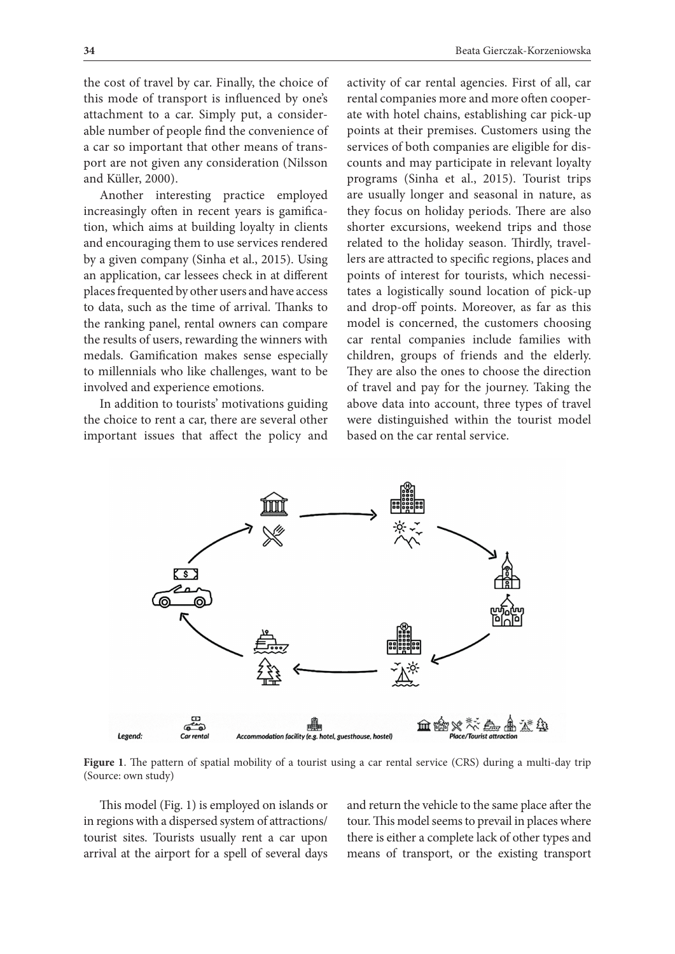the cost of travel by car. Finally, the choice of this mode of transport is influenced by one's attachment to a car. Simply put, a considerable number of people find the convenience of a car so important that other means of transport are not given any consideration (Nilsson and Küller, 2000).

Another interesting practice employed increasingly often in recent years is gamification, which aims at building loyalty in clients and encouraging them to use services rendered by a given company (Sinha et al., 2015). Using an application, car lessees check in at different places frequented by other users and have access to data, such as the time of arrival. Thanks to the ranking panel, rental owners can compare the results of users, rewarding the winners with medals. Gamification makes sense especially to millennials who like challenges, want to be involved and experience emotions.

In addition to tourists' motivations guiding the choice to rent a car, there are several other important issues that affect the policy and

activity of car rental agencies. First of all, car rental companies more and more often cooperate with hotel chains, establishing car pick-up points at their premises. Customers using the services of both companies are eligible for discounts and may participate in relevant loyalty programs (Sinha et al., 2015). Tourist trips are usually longer and seasonal in nature, as they focus on holiday periods. There are also shorter excursions, weekend trips and those related to the holiday season. Thirdly, travellers are attracted to specific regions, places and points of interest for tourists, which necessitates a logistically sound location of pick-up and drop-off points. Moreover, as far as this model is concerned, the customers choosing car rental companies include families with children, groups of friends and the elderly. They are also the ones to choose the direction of travel and pay for the journey. Taking the above data into account, three types of travel were distinguished within the tourist model based on the car rental service.



**Figure 1**. The pattern of spatial mobility of a tourist using a car rental service (CRS) during a multi-day trip (Source: own study)

This model (Fig. 1) is employed on islands or in regions with a dispersed system of attractions/ tourist sites. Tourists usually rent a car upon arrival at the airport for a spell of several days

and return the vehicle to the same place after the tour. This model seems to prevail in places where there is either a complete lack of other types and means of transport, or the existing transport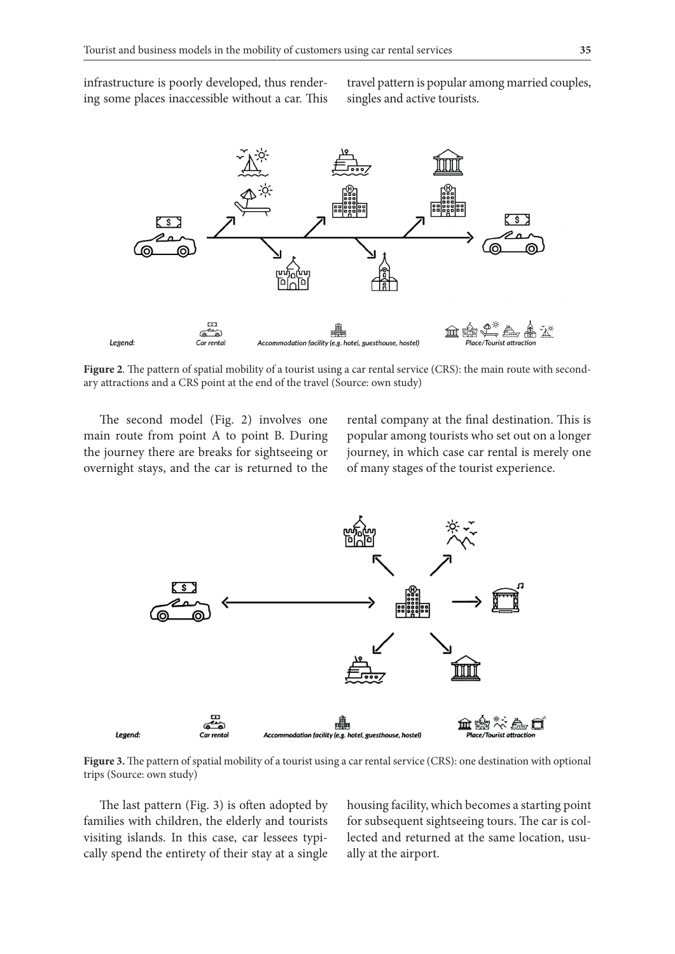infrastructure is poorly developed, thus rendering some places inaccessible without a car. This

travel pattern is popular among married couples, singles and active tourists.



**Figure 2**. The pattern of spatial mobility of a tourist using a car rental service (CRS): the main route with secondary attractions and a CRS point at the end of the travel (Source: own study)

The second model (Fig. 2) involves one main route from point A to point B. During the journey there are breaks for sightseeing or overnight stays, and the car is returned to the rental company at the final destination. This is popular among tourists who set out on a longer journey, in which case car rental is merely one of many stages of the tourist experience.



**Figure 3.** The pattern of spatial mobility of a tourist using a car rental service (CRS): one destination with optional trips (Source: own study)

The last pattern (Fig. 3) is often adopted by families with children, the elderly and tourists visiting islands. In this case, car lessees typically spend the entirety of their stay at a single

housing facility, which becomes a starting point for subsequent sightseeing tours. The car is collected and returned at the same location, usually at the airport.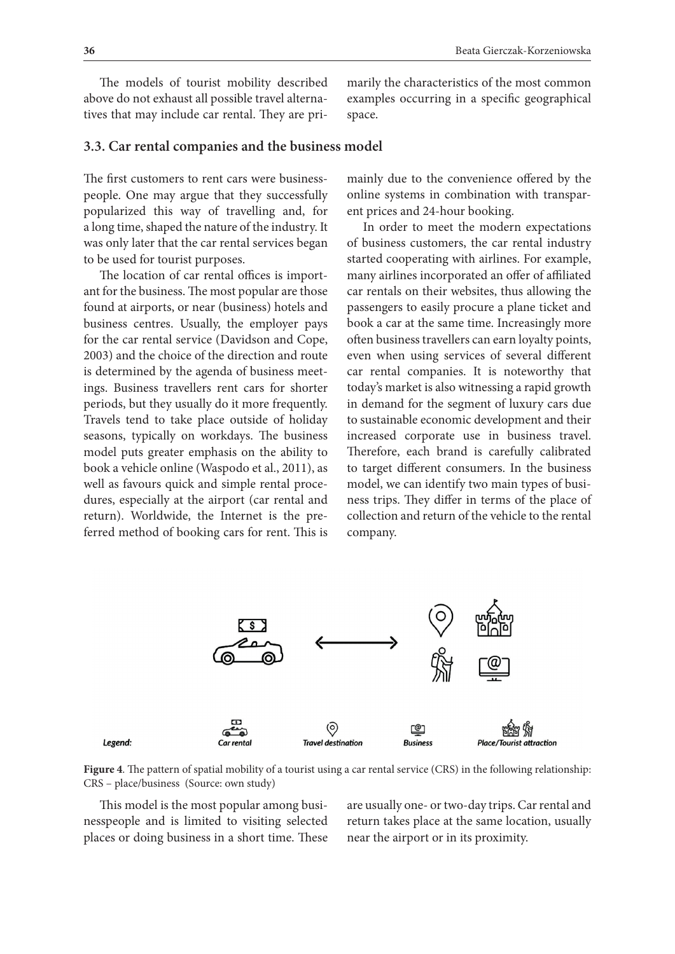The models of tourist mobility described above do not exhaust all possible travel alternatives that may include car rental. They are primarily the characteristics of the most common examples occurring in a specific geographical space.

### **3.3. Car rental companies and the business model**

The first customers to rent cars were businesspeople. One may argue that they successfully popularized this way of travelling and, for a long time, shaped the nature of the industry. It was only later that the car rental services began to be used for tourist purposes.

The location of car rental offices is important for the business. The most popular are those found at airports, or near (business) hotels and business centres. Usually, the employer pays for the car rental service (Davidson and Cope, 2003) and the choice of the direction and route is determined by the agenda of business meetings. Business travellers rent cars for shorter periods, but they usually do it more frequently. Travels tend to take place outside of holiday seasons, typically on workdays. The business model puts greater emphasis on the ability to book a vehicle online (Waspodo et al., 2011), as well as favours quick and simple rental procedures, especially at the airport (car rental and return). Worldwide, the Internet is the preferred method of booking cars for rent. This is

mainly due to the convenience offered by the online systems in combination with transparent prices and 24-hour booking.

In order to meet the modern expectations of business customers, the car rental industry started cooperating with airlines. For example, many airlines incorporated an offer of affiliated car rentals on their websites, thus allowing the passengers to easily procure a plane ticket and book a car at the same time. Increasingly more often business travellers can earn loyalty points, even when using services of several different car rental companies. It is noteworthy that today's market is also witnessing a rapid growth in demand for the segment of luxury cars due to sustainable economic development and their increased corporate use in business travel. Therefore, each brand is carefully calibrated to target different consumers. In the business model, we can identify two main types of business trips. They differ in terms of the place of collection and return of the vehicle to the rental company.



**Figure 4**. The pattern of spatial mobility of a tourist using a car rental service (CRS) in the following relationship: CRS – place/business (Source: own study)

This model is the most popular among businesspeople and is limited to visiting selected places or doing business in a short time. These

are usually one- or two-day trips. Car rental and return takes place at the same location, usually near the airport or in its proximity.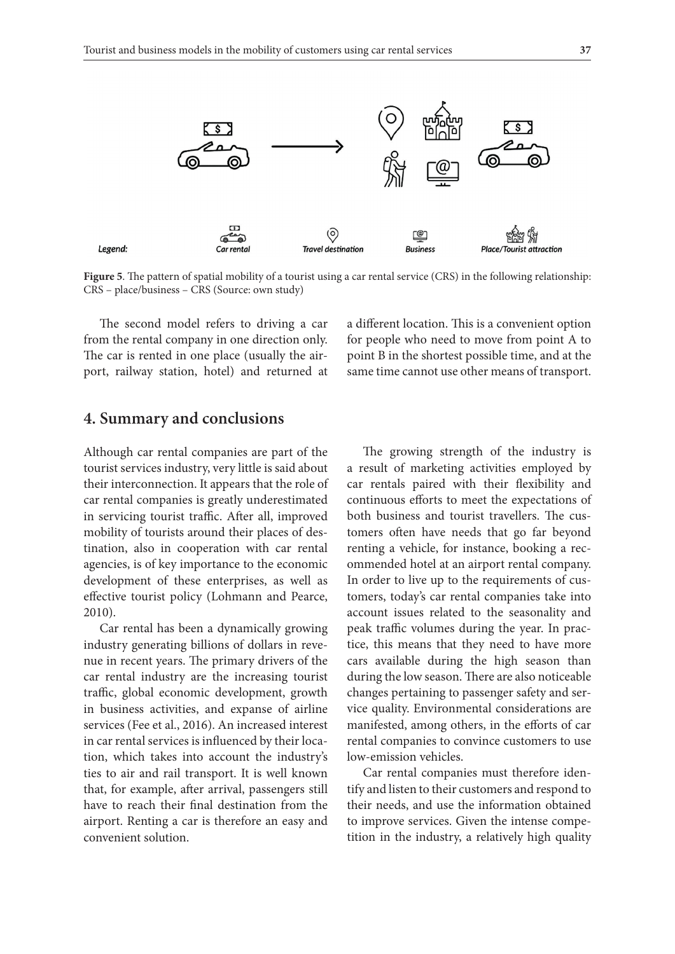

**Figure 5**. The pattern of spatial mobility of a tourist using a car rental service (CRS) in the following relationship: CRS – place/business – CRS (Source: own study)

The second model refers to driving a car from the rental company in one direction only. The car is rented in one place (usually the airport, railway station, hotel) and returned at a different location. This is a convenient option for people who need to move from point A to point B in the shortest possible time, and at the same time cannot use other means of transport.

### **4. Summary and conclusions**

Although car rental companies are part of the tourist services industry, very little is said about their interconnection. It appears that the role of car rental companies is greatly underestimated in servicing tourist traffic. After all, improved mobility of tourists around their places of destination, also in cooperation with car rental agencies, is of key importance to the economic development of these enterprises, as well as effective tourist policy (Lohmann and Pearce, 2010).

Car rental has been a dynamically growing industry generating billions of dollars in revenue in recent years. The primary drivers of the car rental industry are the increasing tourist traffic, global economic development, growth in business activities, and expanse of airline services (Fee et al., 2016). An increased interest in car rental services is influenced by their location, which takes into account the industry's ties to air and rail transport. It is well known that, for example, after arrival, passengers still have to reach their final destination from the airport. Renting a car is therefore an easy and convenient solution.

The growing strength of the industry is a result of marketing activities employed by car rentals paired with their flexibility and continuous efforts to meet the expectations of both business and tourist travellers. The customers often have needs that go far beyond renting a vehicle, for instance, booking a recommended hotel at an airport rental company. In order to live up to the requirements of customers, today's car rental companies take into account issues related to the seasonality and peak traffic volumes during the year. In practice, this means that they need to have more cars available during the high season than during the low season. There are also noticeable changes pertaining to passenger safety and service quality. Environmental considerations are manifested, among others, in the efforts of car rental companies to convince customers to use low-emission vehicles.

Car rental companies must therefore identify and listen to their customers and respond to their needs, and use the information obtained to improve services. Given the intense competition in the industry, a relatively high quality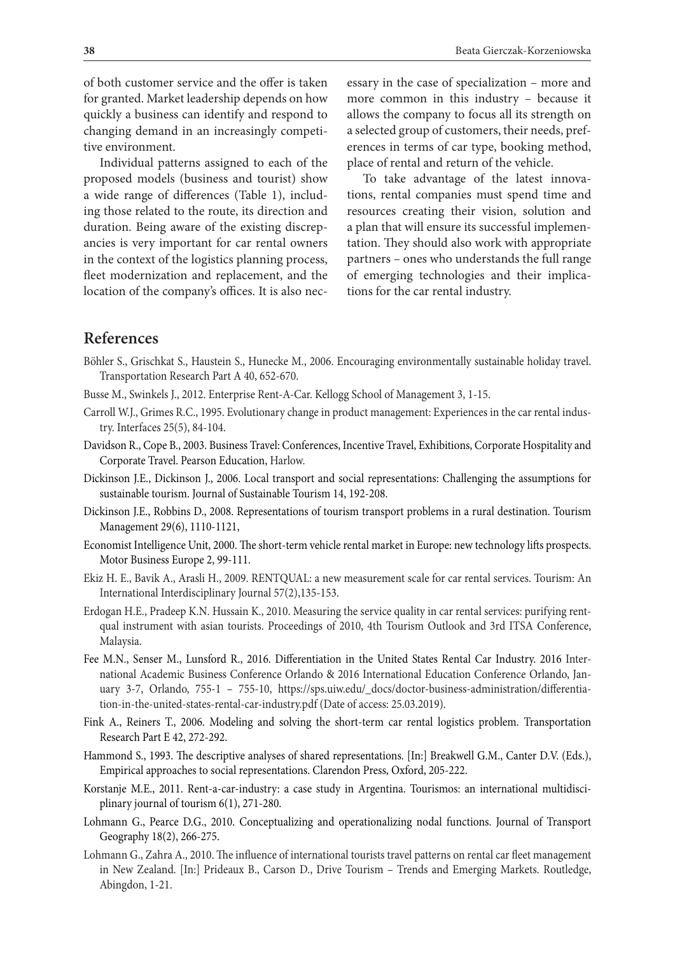of both customer service and the offer is taken for granted. Market leadership depends on how quickly a business can identify and respond to changing demand in an increasingly competitive environment.

Individual patterns assigned to each of the proposed models (business and tourist) show a wide range of differences (Table 1), including those related to the route, its direction and duration. Being aware of the existing discrepancies is very important for car rental owners in the context of the logistics planning process, fleet modernization and replacement, and the location of the company's offices. It is also nec-

essary in the case of specialization – more and more common in this industry – because it allows the company to focus all its strength on a selected group of customers, their needs, preferences in terms of car type, booking method, place of rental and return of the vehicle.

To take advantage of the latest innovations, rental companies must spend time and resources creating their vision, solution and a plan that will ensure its successful implementation. They should also work with appropriate partners – ones who understands the full range of emerging technologies and their implications for the car rental industry.

# **References**

- Böhler S., Grischkat S., Haustein S., Hunecke M., 2006. Encouraging environmentally sustainable holiday travel. Transportation Research Part A 40, 652-670.
- Busse M., Swinkels J., 2012. Enterprise Rent-A-Car. Kellogg School of Management 3, 1-15.
- Carroll W.J., Grimes R.C., 1995. Evolutionary change in product management: Experiences in the car rental industry. Interfaces 25(5), 84-104.
- Davidson R., Cope B., 2003. Business Travel: Conferences, Incentive Travel, Exhibitions, Corporate Hospitality and Corporate Travel. Pearson Education, Harlow.
- Dickinson J.E., Dickinson J., 2006. Local transport and social representations: Challenging the assumptions for sustainable tourism. Journal of Sustainable Tourism 14, 192-208.
- Dickinson J.E., Robbins D., 2008. Representations of tourism transport problems in a rural destination. Tourism Management 29(6), 1110-1121,
- Economist Intelligence Unit, 2000. The short-term vehicle rental market in Europe: new technology lifts prospects. Motor Business Europe 2, 99-111.
- Ekiz H. E., Bavik A., Arasli H., 2009. RENTQUAL: a new measurement scale for car rental services. Tourism: An International Interdisciplinary Journal 57(2),135-153.
- Erdogan H.E., Pradeep K.N. Hussain K., 2010. Measuring the service quality in car rental services: purifying rentqual instrument with asian tourists. Proceedings of 2010, 4th Tourism Outlook and 3rd ITSA Conference, Malaysia.
- Fee M.N., Senser M., Lunsford R., 2016. Differentiation in the United States Rental Car Industry. 2016 International Academic Business Conference Orlando & 2016 International Education Conference Orlando, January 3-7, Orlando, 755-1 – 755-10, https://sps.uiw.edu/\_docs/doctor-business-administration/differentiation-in-the-united-states-rental-car-industry.pdf (Date of access: 25.03.2019).
- Fink A., Reiners T., 2006. Modeling and solving the short-term car rental logistics problem. Transportation Research Part E 42, 272-292.
- Hammond S., 1993. The descriptive analyses of shared representations. [In:] Breakwell G.M., Canter D.V. (Eds.), Empirical approaches to social representations. Clarendon Press, Oxford, 205-222.
- Korstanje M.E., 2011. Rent-a-car-industry: a case study in Argentina. Tourismos: an international multidisciplinary journal of tourism 6(1), 271-280.
- Lohmann G., Pearce D.G., 2010. Conceptualizing and operationalizing nodal functions. Journal of Transport Geography 18(2), 266-275.
- Lohmann G., Zahra A., 2010. The influence of international tourists travel patterns on rental car fleet management in New Zealand. [In:] Prideaux B., Carson D., Drive Tourism – Trends and Emerging Markets. Routledge, Abingdon, 1-21.